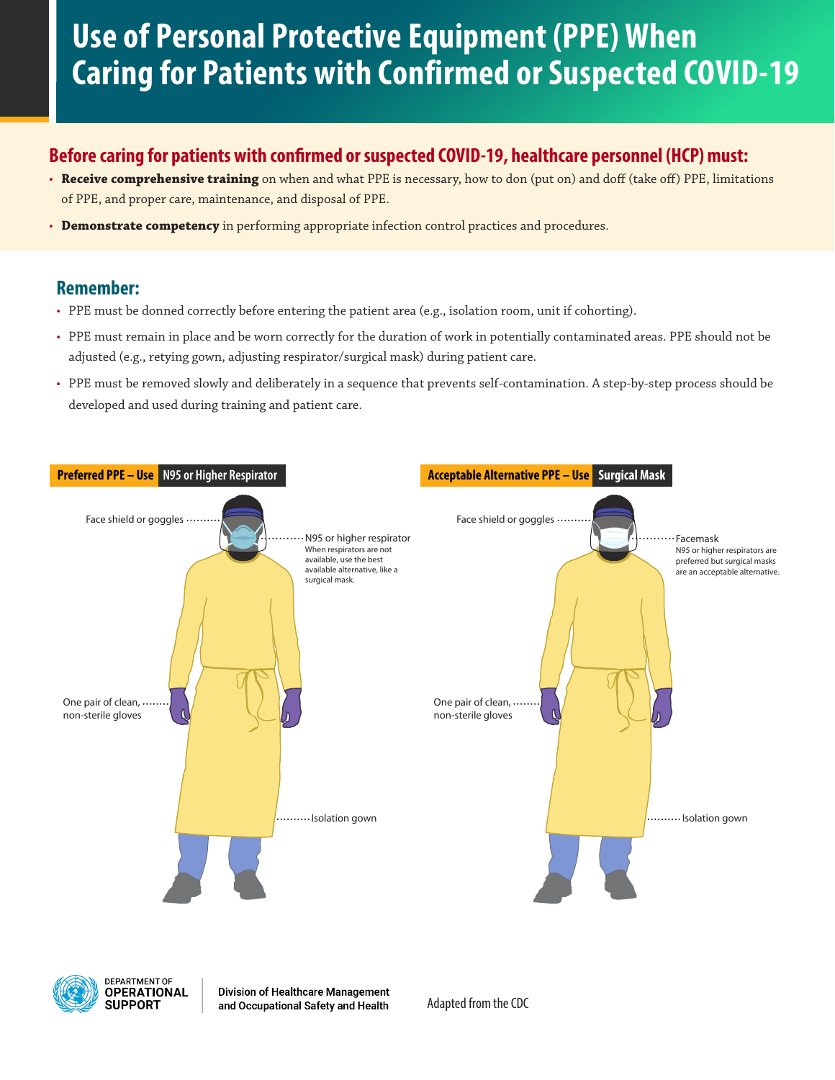# **Use of Personal Protective Equipment (PPE) When Caring for Patients with Confirmed or Suspected COVID-19**

## **Before caring for patients with confirmed or suspected COVID-19, healthcare personnel (HCP) must:**

- **Receive comprehensive training** on when and what PPE is necessary, how to don (put on) and doff (take off) PPE, limitations of PPE, and proper care, maintenance, and disposal of PPE.
- **Demonstrate competency** in performing appropriate infection control practices and procedures.

#### **Remember:**

- PPE must be donned correctly before entering the patient area (e.g., isolation room, unit if cohorting).
- PPE must remain in place and be worn correctly for the duration of work in potentially contaminated areas. PPE should not be adjusted (e.g., retying gown, adjusting respirator/surgical mask) during patient care.
- **COVID-19 Personal Protective Equipment** developed and used during training and patient care. • PPE must be removed slowly and deliberately in a sequence that prevents self-contamination. A step-by-step process should be





**Division of Healthcare Management** and Occupational Safety and Health

Adapted from the CDC